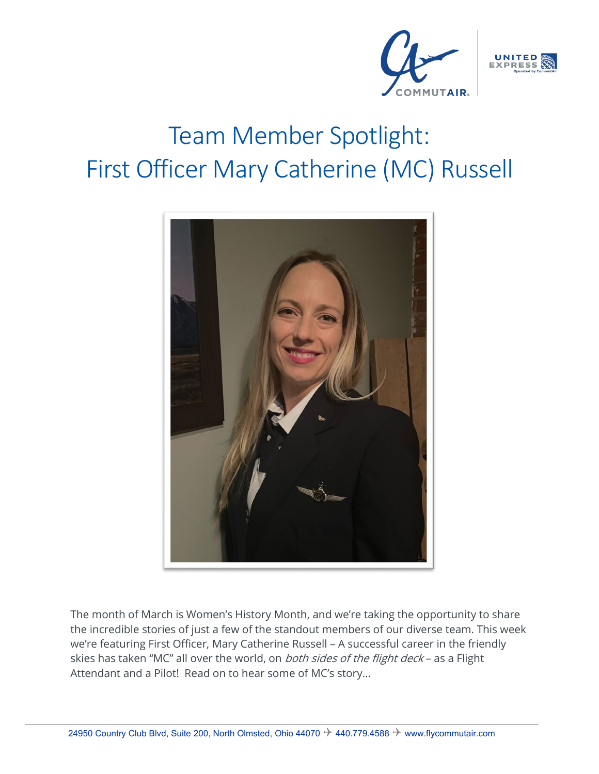



## Team Member Spotlight: First Officer Mary Catherine (MC) Russell



The month of March is Women's History Month, and we're taking the opportunity to share the incredible stories of just a few of the standout members of our diverse team. This week we're featuring First Officer, Mary Catherine Russell – A successful career in the friendly skies has taken "MC" all over the world, on both sides of the flight deck - as a Flight Attendant and a Pilot! Read on to hear some of MC's story…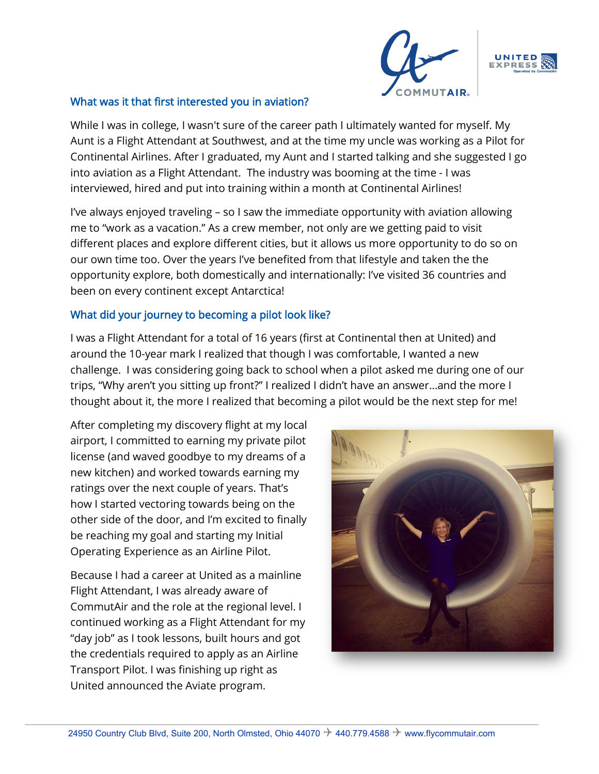



While I was in college, I wasn't sure of the career path I ultimately wanted for myself. My Aunt is a Flight Attendant at Southwest, and at the time my uncle was working as a Pilot for Continental Airlines. After I graduated, my Aunt and I started talking and she suggested I go into aviation as a Flight Attendant. The industry was booming at the time - I was interviewed, hired and put into training within a month at Continental Airlines!

I've always enjoyed traveling – so I saw the immediate opportunity with aviation allowing me to "work as a vacation." As a crew member, not only are we getting paid to visit different places and explore different cities, but it allows us more opportunity to do so on our own time too. Over the years I've benefited from that lifestyle and taken the the opportunity explore, both domestically and internationally: I've visited 36 countries and been on every continent except Antarctica!

## What did your journey to becoming a pilot look like?

I was a Flight Attendant for a total of 16 years (first at Continental then at United) and around the 10-year mark I realized that though I was comfortable, I wanted a new challenge. I was considering going back to school when a pilot asked me during one of our trips, "Why aren't you sitting up front?" I realized I didn't have an answer…and the more I thought about it, the more I realized that becoming a pilot would be the next step for me!

After completing my discovery flight at my local airport, I committed to earning my private pilot license (and waved goodbye to my dreams of a new kitchen) and worked towards earning my ratings over the next couple of years. That's how I started vectoring towards being on the other side of the door, and I'm excited to finally be reaching my goal and starting my Initial Operating Experience as an Airline Pilot.

Because I had a career at United as a mainline Flight Attendant, I was already aware of CommutAir and the role at the regional level. I continued working as a Flight Attendant for my "day job" as I took lessons, built hours and got the credentials required to apply as an Airline Transport Pilot. I was finishing up right as United announced the Aviate program.